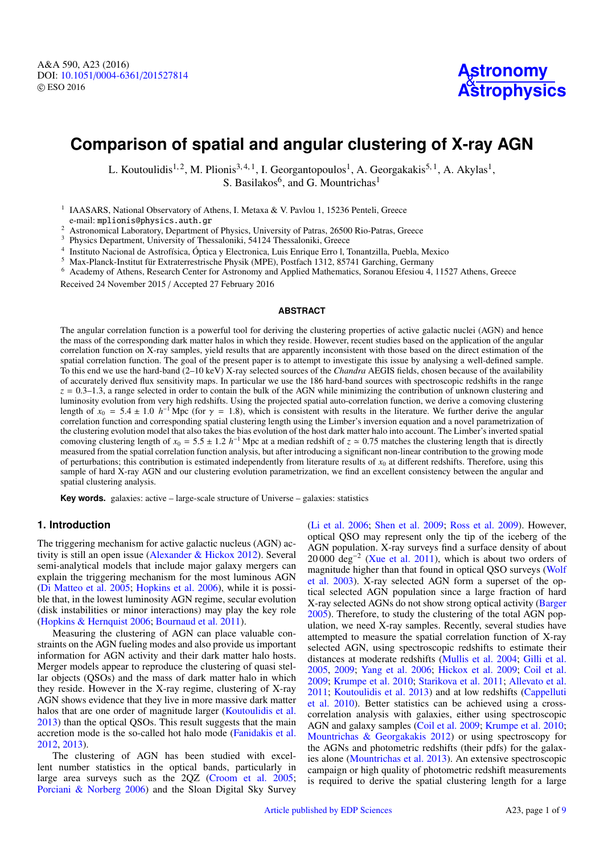# **Comparison of spatial and angular clustering of X-ray AGN**

L. Koutoulidis<sup>1,2</sup>, M. Plionis<sup>3,4,1</sup>, I. Georgantopoulos<sup>1</sup>, A. Georgakakis<sup>5,1</sup>, A. Akylas<sup>1</sup>, S. Basilakos<sup>6</sup>, and G. Mountrichas<sup>1</sup>

<sup>1</sup> IAASARS, National Observatory of Athens, I. Metaxa & V. Pavlou 1, 15236 Penteli, Greece

e-mail: mplionis@physics.auth.gr

<sup>2</sup> Astronomical Laboratory, Department of Physics, University of Patras, 26500 Rio-Patras, Greece

<sup>3</sup> Physics Department, University of Thessaloniki, 54124 Thessaloniki, Greece

4 Instituto Nacional de Astrofísica, Óptica y Electronica, Luis Enrique Erro l, Tonantzilla, Puebla, Mexico

<sup>5</sup> Max-Planck-Institut für Extraterrestrische Physik (MPE), Postfach 1312, 85741 Garching, Germany

<sup>6</sup> Academy of Athens, Research Center for Astronomy and Applied Mathematics, Soranou Efesiou 4, 11527 Athens, Greece

Received 24 November 2015 / Accepted 27 February 2016

## **ABSTRACT**

The angular correlation function is a powerful tool for deriving the clustering properties of active galactic nuclei (AGN) and hence the mass of the corresponding dark matter halos in which they reside. However, recent studies based on the application of the angular correlation function on X-ray samples, yield results that are apparently inconsistent with those based on the direct estimation of the spatial correlation function. The goal of the present paper is to attempt to investigate this issue by analysing a well-defined sample. To this end we use the hard-band (2–10 keV) X-ray selected sources of the *Chandra* AEGIS fields, chosen because of the availability of accurately derived flux sensitivity maps. In particular we use the 186 hard-band sources with spectroscopic redshifts in the range  $z = 0.3 - 1.3$ , a range selected in order to contain the bulk of the AGN while minimizing the contribution of unknown clustering and luminosity evolution from very high redshifts. Using the projected spatial auto-correlation function, we derive a comoving clustering length of  $x_0 = 5.4 \pm 1.0$  *h*<sup>-1</sup> Mpc (for  $\gamma = 1.8$ ), which is consistent with results in the literature. We further derive the angular correlation function and corresponding spatial clustering length using the Limber's correlation function and corresponding spatial clustering length using the Limber's inversion equation and a novel parametrization of the clustering evolution model that also takes the bias evolution of the host dark matter halo into account. The Limber's inverted spatial comoving clustering length of  $x_0 = 5.5 \pm 1.2 h^{-1}$  Mpc at a median redshift of  $z \approx 0.75$  matches the clustering length that is directly measured from the spatial correlation function analysis but after introducing a sign measured from the spatial correlation function analysis, but after introducing a significant non-linear contribution to the growing mode of perturbations; this contribution is estimated independently from literature results of  $x_0$  at different redshifts. Therefore, using this sample of hard X-ray AGN and our clustering evolution parametrization, we find an excellent consistency between the angular and spatial clustering analysis.

**Key words.** galaxies: active – large-scale structure of Universe – galaxies: statistics

## **1. Introduction**

The triggering mechanism for active galactic nucleus (AGN) activity is still an open issue [\(Alexander & Hickox](#page-7-0) [2012\)](#page-7-0). Several semi-analytical models that include major galaxy mergers can explain the triggering mechanism for the most luminous AGN [\(Di Matteo et al.](#page-7-1) [2005;](#page-7-1) [Hopkins et al.](#page-7-2) [2006\)](#page-7-2), while it is possible that, in the lowest luminosity AGN regime, secular evolution (disk instabilities or minor interactions) may play the key role [\(Hopkins & Hernquist](#page-7-3) [2006;](#page-7-3) [Bournaud et al.](#page-7-4) [2011\)](#page-7-4).

Measuring the clustering of AGN can place valuable constraints on the AGN fueling modes and also provide us important information for AGN activity and their dark matter halo hosts. Merger models appear to reproduce the clustering of quasi stellar objects (QSOs) and the mass of dark matter halo in which they reside. However in the X-ray regime, clustering of X-ray AGN shows evidence that they live in more massive dark matter halos that are one order of magnitude larger [\(Koutoulidis et al.](#page-7-5) [2013\)](#page-7-5) than the optical QSOs. This result suggests that the main accretion mode is the so-called hot halo mode [\(Fanidakis et al.](#page-7-6) [2012,](#page-7-6) [2013\)](#page-7-7).

The clustering of AGN has been studied with excellent number statistics in the optical bands, particularly in large area surveys such as the 2QZ [\(Croom et al.](#page-7-8) [2005;](#page-7-8) [Porciani & Norberg](#page-8-0) [2006\)](#page-8-0) and the Sloan Digital Sky Survey

[\(Li et al.](#page-8-1) [2006;](#page-8-1) [Shen et al.](#page-8-2) [2009;](#page-8-2) [Ross et al.](#page-8-3) [2009\)](#page-8-3). However, optical QSO may represent only the tip of the iceberg of the AGN population. X-ray surveys find a surface density of about 20 000 deg<sup>-2</sup> [\(Xue et al.](#page-8-4) [2011\)](#page-8-4), which is about two orders of magnitude higher than that found in optical QSO surveys [\(Wolf](#page-8-5) [et al.](#page-8-5) [2003\)](#page-8-5). X-ray selected AGN form a superset of the optical selected AGN population since a large fraction of hard X-ray selected AGNs do not show strong optical activity [\(Barger](#page-7-9) [2005\)](#page-7-9). Therefore, to study the clustering of the total AGN population, we need X-ray samples. Recently, several studies have attempted to measure the spatial correlation function of X-ray selected AGN, using spectroscopic redshifts to estimate their distances at moderate redshifts [\(Mullis et al.](#page-8-6) [2004;](#page-8-6) [Gilli et al.](#page-7-10) [2005,](#page-7-10) [2009;](#page-7-11) [Yang et al.](#page-8-7) [2006;](#page-8-7) [Hickox et al.](#page-7-12) [2009;](#page-7-12) [Coil et al.](#page-7-13) [2009;](#page-7-13) [Krumpe et al.](#page-8-8) [2010;](#page-8-8) [Starikova et al.](#page-8-9) [2011;](#page-8-9) [Allevato et al.](#page-7-14) [2011;](#page-7-14) [Koutoulidis et al.](#page-7-5) [2013\)](#page-7-5) and at low redshifts [\(Cappelluti](#page-7-15) [et al.](#page-7-15) [2010\)](#page-7-15). Better statistics can be achieved using a crosscorrelation analysis with galaxies, either using spectroscopic AGN and galaxy samples [\(Coil et al.](#page-7-13) [2009;](#page-7-13) [Krumpe et al.](#page-8-8) [2010;](#page-8-8) [Mountrichas & Georgakakis](#page-8-10) [2012\)](#page-8-10) or using spectroscopy for the AGNs and photometric redshifts (their pdfs) for the galaxies alone [\(Mountrichas et al.](#page-8-11) [2013\)](#page-8-11). An extensive spectroscopic campaign or high quality of photometric redshift measurements is required to derive the spatial clustering length for a large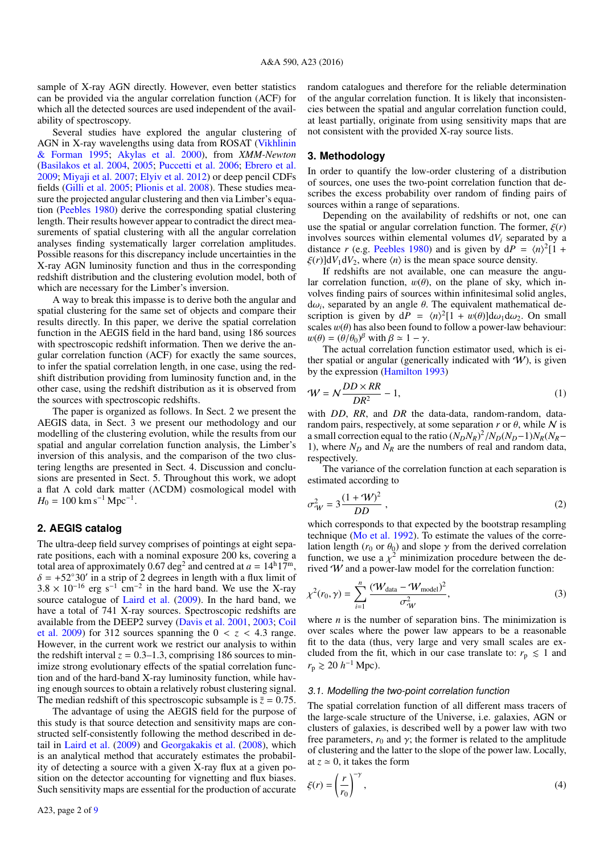sample of X-ray AGN directly. However, even better statistics can be provided via the angular correlation function (ACF) for which all the detected sources are used independent of the availability of spectroscopy.

Several studies have explored the angular clustering of AGN in X-ray wavelengths using data from ROSAT [\(Vikhlinin](#page-8-13) [& Forman](#page-8-13) [1995;](#page-8-13) [Akylas et al.](#page-7-16) [2000\)](#page-7-16), from *XMM-Newton* [\(Basilakos et al.](#page-7-17) [2004,](#page-7-17) [2005;](#page-7-18) [Puccetti et al.](#page-8-14) [2006;](#page-8-14) [Ebrero et al.](#page-7-19) [2009;](#page-7-19) [Miyaji et al.](#page-8-15) [2007;](#page-8-15) [Elyiv et al.](#page-7-20) [2012\)](#page-7-20) or deep pencil CDFs fields [\(Gilli et al.](#page-7-10) [2005;](#page-7-10) [Plionis et al.](#page-8-16) [2008\)](#page-8-16). These studies measure the projected angular clustering and then via Limber's equation [\(Peebles](#page-8-17) [1980\)](#page-8-17) derive the corresponding spatial clustering length. Their results however appear to contradict the direct measurements of spatial clustering with all the angular correlation analyses finding systematically larger correlation amplitudes. Possible reasons for this discrepancy include uncertainties in the X-ray AGN luminosity function and thus in the corresponding redshift distribution and the clustering evolution model, both of which are necessary for the Limber's inversion.

A way to break this impasse is to derive both the angular and spatial clustering for the same set of objects and compare their results directly. In this paper, we derive the spatial correlation function in the AEGIS field in the hard band, using 186 sources with spectroscopic redshift information. Then we derive the angular correlation function (ACF) for exactly the same sources, to infer the spatial correlation length, in one case, using the redshift distribution providing from luminosity function and, in the other case, using the redshift distribution as it is observed from the sources with spectroscopic redshifts.

The paper is organized as follows. In Sect. 2 we present the AEGIS data, in Sect. 3 we present our methodology and our modelling of the clustering evolution, while the results from our spatial and angular correlation function analysis, the Limber's inversion of this analysis, and the comparison of the two clustering lengths are presented in Sect. 4. Discussion and conclusions are presented in Sect. 5. Throughout this work, we adopt a flat Λ cold dark matter (ΛCDM) cosmological model with  $H_0 = 100$  km s<sup>-1</sup> Mpc<sup>-1</sup>.

## **2. AEGIS catalog**

The ultra-deep field survey comprises of pointings at eight separate positions, each with a nominal exposure 200 ks, covering a total area of approximately 0.67 deg<sup>2</sup> and centred at  $a = 14^{\text{h}}17^{\text{m}}$ ,  $\delta = +52^{\circ}30'$  in a strip of 2 degrees in length with a flux limit of  $3.8 \times 10^{-16}$  erg s<sup>-1</sup> cm<sup>-2</sup> in the hard band. We use the X-ray  $3.8 \times 10^{-16}$  erg s<sup>-1</sup> cm<sup>-2</sup> in the hard band. We use the X-ray source catalogue of Laird et al. (2009) In the hard band, we source catalogue of [Laird et al.](#page-8-18) [\(2009\)](#page-8-18). In the hard band, we have a total of 741 X-ray sources. Spectroscopic redshifts are available from the DEEP2 survey [\(Davis et al.](#page-7-21) [2001,](#page-7-21) [2003;](#page-7-22) [Coil](#page-7-13) [et al.](#page-7-13) [2009\)](#page-7-13) for 312 sources spanning the  $0 < z < 4.3$  range. However, in the current work we restrict our analysis to within the redshift interval  $z = 0.3-1.3$ , comprising 186 sources to minimize strong evolutionary effects of the spatial correlation function and of the hard-band X-ray luminosity function, while having enough sources to obtain a relatively robust clustering signal. The median redshift of this spectroscopic subsample is  $\bar{z} = 0.75$ .

The advantage of using the AEGIS field for the purpose of this study is that source detection and sensitivity maps are constructed self-consistently following the method described in detail in [Laird et al.](#page-8-18) [\(2009\)](#page-8-18) and [Georgakakis et al.](#page-7-23) [\(2008\)](#page-7-23), which is an analytical method that accurately estimates the probability of detecting a source with a given X-ray flux at a given position on the detector accounting for vignetting and flux biases. Such sensitivity maps are essential for the production of accurate

random catalogues and therefore for the reliable determination of the angular correlation function. It is likely that inconsistencies between the spatial and angular correlation function could, at least partially, originate from using sensitivity maps that are not consistent with the provided X-ray source lists.

## **3. Methodology**

In order to quantify the low-order clustering of a distribution of sources, one uses the two-point correlation function that describes the excess probability over random of finding pairs of sources within a range of separations.

Depending on the availability of redshifts or not, one can use the spatial or angular correlation function. The former,  $\xi(r)$ involves sources within elemental volumes  $dV_i$  separated by a distance *r* (e.g. [Peebles](#page-8-17) [1980\)](#page-8-17) and is given by  $dP = \langle n \rangle^2 [1 +$  $\xi(r)$ ]d $V_1$ d $V_2$ , where  $\langle n \rangle$  is the mean space source density.

If redshifts are not available, one can measure the angular correlation function,  $w(\theta)$ , on the plane of sky, which involves finding pairs of sources within infinitesimal solid angles, d $\omega_i$ , separated by an angle  $\theta$ . The equivalent mathematical description is given by  $dP = \langle n \rangle^2 [1 + w(\theta)] d\omega_1 d\omega_2$ . On small scription is given by  $dP = \langle n \rangle^2 [1 + w(\theta)] d\omega_1 d\omega_2$ . On small<br>scales  $w(\theta)$  has also been found to follow a nower-law behaviour: scales  $w(\theta)$  has also been found to follow a power-law behaviour:  $w(\theta) = (\theta/\theta_0)^{\beta}$  with  $\beta \simeq 1 - \gamma$ .<br>The actual correlation fun

<span id="page-1-2"></span>The actual correlation function estimator used, which is either spatial or angular (generically indicated with  $W$ ), is given by the expression [\(Hamilton](#page-7-24) [1993\)](#page-7-24)

$$
W = N \frac{DD \times RR}{DR^2} - 1,\tag{1}
$$

with *DD*, *RR*, and *DR* the data-data, random-random, datarandom pairs, respectively, at some separation  $r$  or  $\theta$ , while N is a small correction equal to the ratio  $(N_D N_R)^2 / N_D (N_D-1) N_R (N_R-1)$ <br>1) where  $N_D$  and  $N_p$  are the numbers of real and random data 1), where  $N_D$  and  $N_R$  are the numbers of real and random data, respectively.

The variance of the correlation function at each separation is estimated according to

$$
\sigma_W^2 = 3 \frac{(1 + W)^2}{DD},
$$
 (2)

which corresponds to that expected by the bootstrap resampling technique [\(Mo et al.](#page-8-19) [1992\)](#page-8-19). To estimate the values of the correlation length ( $r_0$  or  $\theta_0$ ) and slope  $\gamma$  from the derived correlation function, we use a  $\chi^2$  minimization procedure between the de-<br>rived W and a nower-law model for the correlation function. rived  $W$  and a power-law model for the correlation function:

<span id="page-1-1"></span>
$$
\chi^2(r_0, \gamma) = \sum_{i=1}^n \frac{(\mathcal{W}_{\text{data}} - \mathcal{W}_{\text{model}})^2}{\sigma_{\mathcal{W}}^2},\tag{3}
$$

where  $n$  is the number of separation bins. The minimization is over scales where the power law appears to be a reasonable fit to the data (thus, very large and very small scales are excluded from the fit, which in our case translate to:  $r_p \leq 1$  and  $r_{\rm p} \gtrsim 20 \; h^{-1} \, \text{Mpc}$ ).

#### 3.1. Modelling the two-point correlation function

The spatial correlation function of all different mass tracers of the large-scale structure of the Universe, i.e. galaxies, AGN or clusters of galaxies, is described well by a power law with two free parameters,  $r_0$  and  $\gamma$ ; the former is related to the amplitude of clustering and the latter to the slope of the power law. Locally, at  $z \approx 0$ , it takes the form

<span id="page-1-0"></span>
$$
\xi(r) = \left(\frac{r}{r_0}\right)^{-\gamma},\tag{4}
$$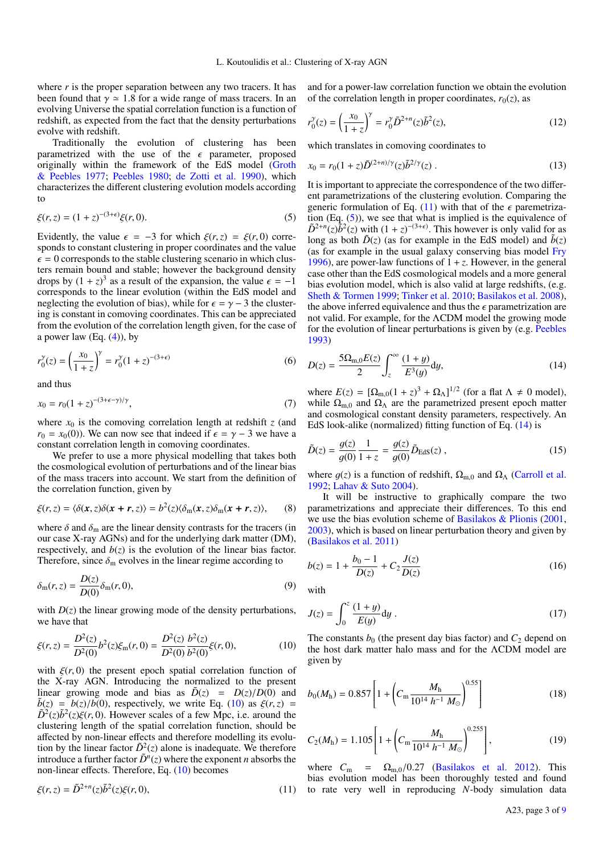where *r* is the proper separation between any two tracers. It has been found that  $\gamma \simeq 1.8$  for a wide range of mass tracers. In an evolving Universe the spatial correlation function is a function of redshift, as expected from the fact that the density perturbations evolve with redshift.

Traditionally the evolution of clustering has been parametrized with the use of the  $\epsilon$  parameter, proposed originally within the framework of the EdS model [\(Groth](#page-7-25) [& Peebles](#page-7-25) [1977;](#page-7-25) [Peebles](#page-8-17) [1980;](#page-8-17) [de Zotti et al.](#page-7-26) [1990\)](#page-7-26), which characterizes the different clustering evolution models according to

<span id="page-2-2"></span>
$$
\xi(r,z) = (1+z)^{-(3+\epsilon)} \xi(r,0). \tag{5}
$$

Evidently, the value  $\epsilon = -3$  for which  $\xi(r, z) = \xi(r, 0)$  corresponds to constant clustering in proper coordinates and the value  $\epsilon$  = 0 corresponds to the stable clustering scenario in which clusters remain bound and stable; however the background density drops by  $(1 + z)^3$  as a result of the expansion, the value  $\epsilon = -1$ <br>corresponds to the linear evolution (within the EdS model and corresponds to the linear evolution (within the EdS model and neglecting the evolution of bias), while for  $\epsilon = \gamma - 3$  the clustering is constant in comoving coordinates. This can be appreciated from the evolution of the correlation length given, for the case of a power law  $(Eq. (4))$  $(Eq. (4))$  $(Eq. (4))$ , by

$$
r_0^{\gamma}(z) = \left(\frac{x_0}{1+z}\right)^{\gamma} = r_0^{\gamma}(1+z)^{-(3+\epsilon)}
$$
(6)

<span id="page-2-5"></span>and thus

$$
x_0 = r_0 (1+z)^{-(3+\epsilon-\gamma)/\gamma},\tag{7}
$$

where  $x_0$  is the comoving correlation length at redshift  $z$  (and  $r_0 = x_0(0)$ . We can now see that indeed if  $\epsilon = \gamma - 3$  we have a constant correlation length in comoving coordinates.

We prefer to use a more physical modelling that takes both the cosmological evolution of perturbations and of the linear bias of the mass tracers into account. We start from the definition of the correlation function, given by

$$
\xi(r,z) = \langle \delta(x,z)\delta(x+r,z) \rangle = b^2(z)\langle \delta_m(x,z)\delta_m(x+r,z) \rangle, \qquad (8)
$$

where  $\delta$  and  $\delta_{\rm m}$  are the linear density contrasts for the tracers (in our case X-ray AGNs) and for the underlying dark matter (DM), respectively, and  $b(z)$  is the evolution of the linear bias factor. Therefore, since  $\delta_{\rm m}$  evolves in the linear regime according to

$$
\delta_{\mathbf{m}}(r,z) = \frac{D(z)}{D(0)} \delta_{\mathbf{m}}(r,0),\tag{9}
$$

<span id="page-2-0"></span>with  $D(z)$  the linear growing mode of the density perturbations, we have that

$$
\xi(r,z) = \frac{D^2(z)}{D^2(0)} b^2(z) \xi_m(r,0) = \frac{D^2(z)}{D^2(0)} \frac{b^2(z)}{b^2(0)} \xi(r,0),\tag{10}
$$

with  $\xi(r, 0)$  the present epoch spatial correlation function of the X-ray AGN. Introducing the normalized to the present linear growing mode and bias as  $\tilde{D}(z) = D(z)/D(0)$  and  $\tilde{b}(z) = b(z)/b(0)$ , respectively, we write Eq. [\(10\)](#page-2-0) as  $\xi(r, z)$  =  $\tilde{D}^2(z)\tilde{b}^2(z)\xi(r,0)$ . However scales of a few Mpc, i.e. around the clustering length of the spatial correlation function should be clustering length of the spatial correlation function, should be affected by non-linear effects and therefore modelling its evolution by the linear factor  $\tilde{D}^2(z)$  alone is inadequate. We therefore introduce a further factor  $\tilde{D}^n(z)$  where the exponent *n* absorbs the non-linear effects. Therefore, Eq. [\(10\)](#page-2-0) becomes

$$
\xi(r,z) = \tilde{D}^{2+n}(z)\tilde{b}^{2}(z)\xi(r,0),
$$
\n(11)

and for a power-law correlation function we obtain the evolution of the correlation length in proper coordinates,  $r_0(z)$ , as

$$
r_0^{\gamma}(z) = \left(\frac{x_0}{1+z}\right)^{\gamma} = r_0^{\gamma} \tilde{D}^{2+n}(z) \tilde{b}^2(z),\tag{12}
$$

which translates in comoving coordinates to

<span id="page-2-4"></span>
$$
x_0 = r_0 (1+z) \tilde{D}^{(2+n)/\gamma}(z) \tilde{b}^{2/\gamma}(z) . \tag{13}
$$

It is important to appreciate the correspondence of the two different parametrizations of the clustering evolution. Comparing the generic formulation of Eq. [\(11\)](#page-2-1) with that of the  $\epsilon$  paremetrization  $(Eq. (5))$  $(Eq. (5))$  $(Eq. (5))$ , we see that what is implied is the equivalence of  $\tilde{D}^{2+n}(z)\tilde{b}^{2}(z)$  with  $(1 + z)^{-(3+\epsilon)}$ . This however is only valid for as long as both  $\tilde{D}(z)$  (as for example in the EdS model) and  $\tilde{b}(z)$ (as for example in the usual galaxy conserving bias model [Fry](#page-7-27) [1996\)](#page-7-27), are power-law functions of  $1 + z$ . However, in the general case other than the EdS cosmological models and a more general bias evolution model, which is also valid at large redshifts, (e.g. [Sheth & Tormen](#page-8-20) [1999;](#page-8-20) [Tinker et al.](#page-8-21) [2010;](#page-8-21) [Basilakos et al.](#page-7-28) [2008\)](#page-7-28), the above inferred equivalence and thus the  $\epsilon$  parametrization are not valid. For example, for the ΛCDM model the growing mode for the evolution of linear perturbations is given by (e.g. [Peebles](#page-8-22) [1993\)](#page-8-22)

<span id="page-2-3"></span>
$$
D(z) = \frac{5\Omega_{\text{m},0}E(z)}{2} \int_{z}^{\infty} \frac{(1+y)}{E^{3}(y)} dy,
$$
\n(14)

where  $E(z) = [\Omega_{m,0}(1+z)^3 + \Omega_{\Lambda}]^{1/2}$  (for a flat  $\Lambda \neq 0$  model),<br>while  $\Omega_{\Lambda}$  and  $\Omega_{\Lambda}$  are the parametrized present epoch matter while  $\Omega_{m,0}$  and  $\Omega_{\Lambda}$  are the parametrized present epoch matter<br>and cosmological constant density parameters, respectively. An and cosmological constant density parameters, respectively. An EdS look-alike (normalized) fitting function of Eq. [\(14\)](#page-2-3) is

$$
\tilde{D}(z) = \frac{g(z)}{g(0)} \frac{1}{1+z} = \frac{g(z)}{g(0)} \tilde{D}_{\text{EdS}}(z) , \qquad (15)
$$

where  $g(z)$  is a function of redshift,  $\Omega_{\text{m},0}$  and  $\Omega_{\Lambda}$  [\(Carroll et al.](#page-7-29) [1992;](#page-7-29) [Lahav & Suto](#page-8-23) [2004\)](#page-8-23).

It will be instructive to graphically compare the two parametrizations and appreciate their differences. To this end we use the bias evolution scheme of [Basilakos & Plionis](#page-7-30) [\(2001,](#page-7-30) [2003\)](#page-7-31), which is based on linear perturbation theory and given by [\(Basilakos et al.](#page-7-32) [2011\)](#page-7-32)

$$
b(z) = 1 + \frac{b_0 - 1}{D(z)} + C_2 \frac{J(z)}{D(z)}
$$
(16)

with

$$
J(z) = \int_0^z \frac{(1+y)}{E(y)} dy.
$$
 (17)

The constants  $b_0$  (the present day bias factor) and  $C_2$  depend on the host dark matter halo mass and for the ΛCDM model are given by

$$
b_0(M_h) = 0.857 \left[ 1 + \left( C_m \frac{M_h}{10^{14} h^{-1} M_\odot} \right)^{0.55} \right] \tag{18}
$$

$$
C_2(M_h) = 1.105 \left[ 1 + \left( C_m \frac{M_h}{10^{14} h^{-1} M_\odot} \right)^{0.255} \right],\tag{19}
$$

<span id="page-2-1"></span>where  $C_m = \Omega_{m,0}/0.27$  [\(Basilakos et al.](#page-7-33) [2012\)](#page-7-33). This bias evolution model has been thoroughly tested and found to rate very well in reproducing *N*-body simulation data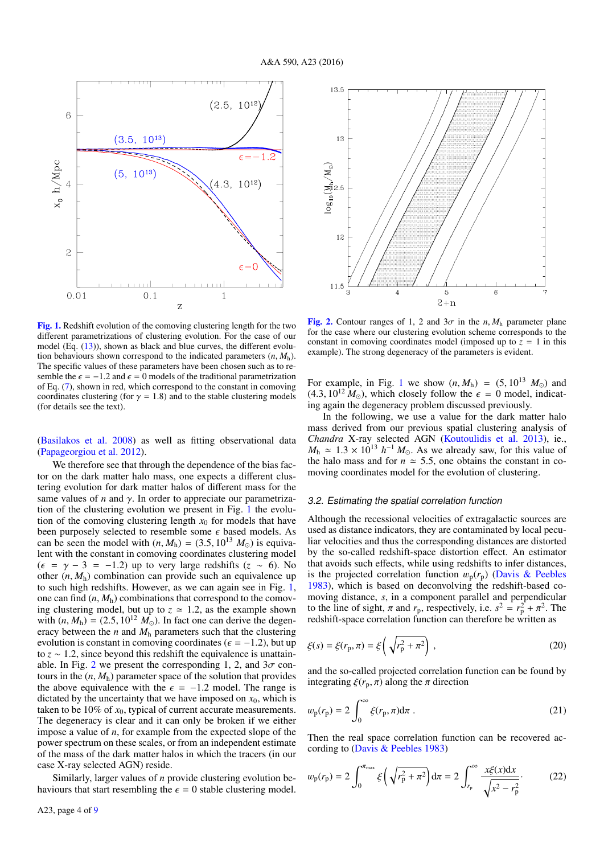

<span id="page-3-0"></span>[Fig. 1.](http://dexter.edpsciences.org/applet.php?DOI=10.1051/0004-6361/201527814&pdf_id=1) Redshift evolution of the comoving clustering length for the two different parametrizations of clustering evolution. For the case of our model (Eq. [\(13\)](#page-2-4)), shown as black and blue curves, the different evolution behaviours shown correspond to the indicated parameters  $(n, M_h)$ . The specific values of these parameters have been chosen such as to resemble the  $\epsilon$  = −1.2 and  $\epsilon$  = 0 models of the traditional parametrization of Eq. [\(7\)](#page-2-5), shown in red, which correspond to the constant in comoving coordinates clustering (for  $\gamma = 1.8$ ) and to the stable clustering models (for details see the text).

[\(Basilakos et al.](#page-7-28) [2008\)](#page-7-28) as well as fitting observational data [\(Papageorgiou et al.](#page-8-24) [2012\)](#page-8-24).

We therefore see that through the dependence of the bias factor on the dark matter halo mass, one expects a different clustering evolution for dark matter halos of different mass for the same values of  $n$  and  $\gamma$ . In order to appreciate our parametrization of the clustering evolution we present in Fig. [1](#page-3-0) the evolution of the comoving clustering length  $x_0$  for models that have been purposely selected to resemble some  $\epsilon$  based models. As been purposely selected to resemble some  $\epsilon$  based models. As can be seen the model with  $(n M_b) = (3.5 \ 10^{13} M_{\odot})$  is equivacan be seen the model with  $(n, M_h) = (3.5, 10^{13} M_{\odot})$  is equiva-<br>lent with the constant in comoving coordinates clustering model lent with the constant in comoving coordinates clustering model  $(\epsilon = \gamma - 3 = -1.2)$  up to very large redshifts ( $z \sim 6$ ). No other  $(n, M_h)$  combination can provide such an equivalence up to such high redshifts. However, as we can again see in Fig. [1,](#page-3-0) one can find (*n*, *<sup>M</sup>*h) combinations that correspond to the comoving clustering model, but up to  $z \approx 1.2$ , as the example shown with  $(n, M_h) = (2.5, 10^{12} M_{\odot})$ . In fact one can derive the degeneracy between the  $n$  and  $M<sub>h</sub>$  parameters such that the clustering evolution is constant in comoving coordinates ( $\epsilon = -1.2$ ), but up to *<sup>z</sup>* <sup>∼</sup> <sup>1</sup>.2, since beyond this redshift the equivalence is unattain-able. In Fig. [2](#page-3-1) we present the corresponding 1, 2, and  $3\sigma$  contours in the  $(n, M_h)$  parameter space of the solution that provides the above equivalence with the  $\epsilon = -1.2$  model. The range is dictated by the uncertainty that we have imposed on  $x_0$ , which is taken to be  $10\%$  of  $x_0$ , typical of current accurate measurements. The degeneracy is clear and it can only be broken if we either impose a value of *n*, for example from the expected slope of the power spectrum on these scales, or from an independent estimate of the mass of the dark matter halos in which the tracers (in our case X-ray selected AGN) reside.

Similarly, larger values of *n* provide clustering evolution behaviours that start resembling the  $\epsilon = 0$  stable clustering model.



<span id="page-3-1"></span>[Fig. 2.](http://dexter.edpsciences.org/applet.php?DOI=10.1051/0004-6361/201527814&pdf_id=2) Contour ranges of 1, 2 and  $3\sigma$  in the *n*,  $M_h$  parameter plane for the case where our clustering evolution scheme corresponds to the constant in comoving coordinates model (imposed up to  $z = 1$  in this example). The strong degeneracy of the parameters is evident.

For example, in Fig. [1](#page-3-0) we show  $(n, M_h) = (5, 10^{13} M_{\odot})$  and  $(4.3, 10^{12} M_{\odot})$ , which closely follow the  $\epsilon = 0$  model, indicating again the degeneracy problem discussed previously.

In the following, we use a value for the dark matter halo mass derived from our previous spatial clustering analysis of *Chandra* X-ray selected AGN [\(Koutoulidis et al.](#page-7-5) [2013\)](#page-7-5), ie.,  $M_h \approx 1.3 \times 10^{13} h^{-1} M_{\odot}$ . As we already saw, for this value of the halo mass and for  $n \approx 5.5$  one obtains the constant in cothe halo mass and for  $n \approx 5.5$ , one obtains the constant in comoving coordinates model for the evolution of clustering.

#### 3.2. Estimating the spatial correlation function

Although the recessional velocities of extragalactic sources are used as distance indicators, they are contaminated by local peculiar velocities and thus the corresponding distances are distorted by the so-called redshift-space distortion effect. An estimator that avoids such effects, while using redshifts to infer distances, is the projected correlation function  $w_p(r_p)$  [\(Davis & Peebles](#page-7-34) [1983\)](#page-7-34), which is based on deconvolving the redshift-based comoving distance, *s*, in a component parallel and perpendicular to the line of sight,  $\pi$  and  $r_p$ , respectively, i.e.  $s^2 = r_p^2 + \pi^2$ . The redshift-space correlation function can therefore be written as redshift-space correlation function can therefore be written as

$$
\xi(s) = \xi(r_{\rm p}, \pi) = \xi \left( \sqrt{r_{\rm p}^2 + \pi^2} \right),
$$
\n(20)

and the so-called projected correlation function can be found by integrating  $\xi(r_p, \pi)$  along the  $\pi$  direction

$$
w_{\mathbf{p}}(r_{\mathbf{p}}) = 2 \int_0^\infty \xi(r_{\mathbf{p}}, \pi) \mathrm{d}\pi \ . \tag{21}
$$

<span id="page-3-2"></span>Then the real space correlation function can be recovered according to [\(Davis & Peebles](#page-7-34) [1983\)](#page-7-34)

$$
w_{\rm p}(r_{\rm p}) = 2 \int_0^{\pi_{\rm max}} \xi \left( \sqrt{r_{\rm p}^2 + \pi^2} \right) d\pi = 2 \int_{r_{\rm p}}^{\infty} \frac{x \xi(x) dx}{\sqrt{x^2 - r_{\rm p}^2}}.
$$
 (22)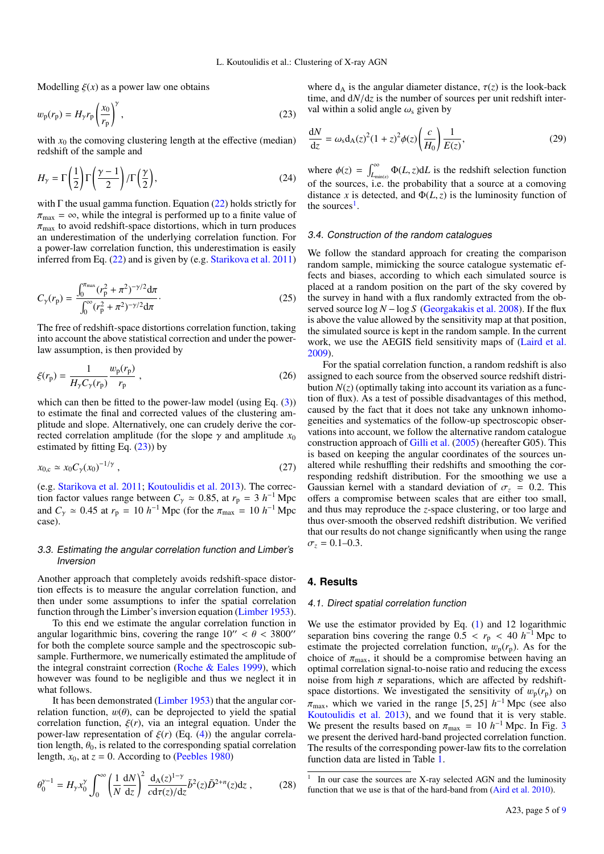Modelling  $\xi(x)$  as a power law one obtains

$$
w_{\mathbf{p}}(r_{\mathbf{p}}) = H_{\gamma} r_{\mathbf{p}} \left(\frac{x_0}{r_{\mathbf{p}}}\right)^{\gamma},\tag{23}
$$

with  $x_0$  the comoving clustering length at the effective (median) redshift of the sample and

$$
H_{\gamma} = \Gamma\left(\frac{1}{2}\right)\Gamma\left(\frac{\gamma - 1}{2}\right)/\Gamma\left(\frac{\gamma}{2}\right),\tag{24}
$$

with  $\Gamma$  the usual gamma function. Equation [\(22\)](#page-3-2) holds strictly for  $\pi_{\text{max}} = \infty$ , while the integral is performed up to a finite value of  $\pi_{\text{max}}$  to avoid redshift-space distortions, which in turn produces an underestimation of the underlying correlation function. For a power-law correlation function, this underestimation is easily inferred from Eq. [\(22\)](#page-3-2) and is given by (e.g. [Starikova et al.](#page-8-9) [2011\)](#page-8-9)

<span id="page-4-2"></span>
$$
C_{\gamma}(r_{\rm p}) = \frac{\int_0^{\pi_{\rm max}} (r_{\rm p}^2 + \pi^2)^{-\gamma/2} d\pi}{\int_0^{\infty} (r_{\rm p}^2 + \pi^2)^{-\gamma/2} d\pi}.
$$
 (25)

The free of redshift-space distortions correlation function, taking into account the above statistical correction and under the powerlaw assumption, is then provided by

$$
\xi(r_{\rm p}) = \frac{1}{H_{\gamma} C_{\gamma}(r_{\rm p})} \frac{w_{\rm p}(r_{\rm p})}{r_{\rm p}},
$$
\n(26)

which can then be fitted to the power-law model (using Eq.  $(3)$ ) to estimate the final and corrected values of the clustering amplitude and slope. Alternatively, one can crudely derive the corrected correlation amplitude (for the slope  $\gamma$  and amplitude  $x_0$ ) estimated by fitting Eq.  $(23)$ ) by

$$
x_{0,c} \simeq x_0 C_\gamma(x_0)^{-1/\gamma} \;, \tag{27}
$$

(e.g. [Starikova et al.](#page-8-9) [2011;](#page-8-9) [Koutoulidis et al.](#page-7-5) [2013\)](#page-7-5). The correction factor values range between  $C_\gamma \approx 0.85$ , at  $r_p = 3 h^{-1}$  Mpc and  $C_{\gamma} \approx 0.45$  at  $r_{\rm p} = 10 h^{-1}$  Mpc (for the  $\pi_{\rm max} = 10 h^{-1}$  Mpc case).

## 3.3. Estimating the angular correlation function and Limber's Inversion

Another approach that completely avoids redshift-space distortion effects is to measure the angular correlation function, and then under some assumptions to infer the spatial correlation function through the Limber's inversion equation [\(Limber](#page-8-25) [1953\)](#page-8-25).

To this end we estimate the angular correlation function in angular logarithmic bins, covering the range  $10'' < \theta < 3800''$ for both the complete source sample and the spectroscopic subsample. Furthermore, we numerically estimated the amplitude of the integral constraint correction (Roche  $\&$  Eales [1999\)](#page-8-26), which however was found to be negligible and thus we neglect it in what follows.

It has been demonstrated [\(Limber](#page-8-25) [1953\)](#page-8-25) that the angular correlation function,  $w(\theta)$ , can be deprojected to yield the spatial correlation function,  $\xi(r)$ , via an integral equation. Under the power-law representation of  $\xi(r)$  (Eq. [\(4\)](#page-1-0)) the angular correlation length,  $\theta_0$ , is related to the corresponding spatial correlation length,  $x_0$ , at  $z = 0$ . According to [\(Peebles](#page-8-17) [1980\)](#page-8-17)

$$
\theta_0^{\gamma - 1} = H_\gamma x_0^{\gamma} \int_0^\infty \left(\frac{1}{N} \frac{dN}{dz}\right)^2 \frac{d_A(z)^{1 - \gamma}}{cd\tau(z)/dz} \tilde{b}^2(z) \tilde{D}^{2 + n}(z) dz ,\qquad (28)
$$

<span id="page-4-0"></span>where  $d_A$  is the angular diameter distance,  $\tau(z)$  is the look-back time, and d*N*/d*<sup>z</sup>* is the number of sources per unit redshift interval within a solid angle  $\omega$ <sub>s</sub> given by

$$
\frac{dN}{dz} = \omega_s d_A(z)^2 (1+z)^2 \phi(z) \left(\frac{c}{H_0}\right) \frac{1}{E(z)},\tag{29}
$$

where  $\phi(z) = \int_{L_{\text{min}(z)}}^{\infty} \Phi(L, z) dL$  is the redshift selection function of the sources, i.e. the probability that a source at a comoving distance *x* is detected, and  $\Phi(L, z)$  is the luminosity function of the sources<sup>[1](#page-4-1)</sup>.

#### 3.4. Construction of the random catalogues

We follow the standard approach for creating the comparison random sample, mimicking the source catalogue systematic effects and biases, according to which each simulated source is placed at a random position on the part of the sky covered by the survey in hand with a flux randomly extracted from the observed source  $\log N - \log S$  [\(Georgakakis et al.](#page-7-23) [2008\)](#page-7-23). If the flux is above the value allowed by the sensitivity map at that position, the simulated source is kept in the random sample. In the current work, we use the AEGIS field sensitivity maps of [\(Laird et al.](#page-8-18) [2009\)](#page-8-18).

<span id="page-4-3"></span>For the spatial correlation function, a random redshift is also assigned to each source from the observed source redshift distribution  $N(z)$  (optimally taking into account its variation as a function of flux). As a test of possible disadvantages of this method, caused by the fact that it does not take any unknown inhomogeneities and systematics of the follow-up spectroscopic observations into account, we follow the alternative random catalogue construction approach of [Gilli et al.](#page-7-10) [\(2005\)](#page-7-10) (hereafter G05). This is based on keeping the angular coordinates of the sources unaltered while reshuffling their redshifts and smoothing the corresponding redshift distribution. For the smoothing we use a Gaussian kernel with a standard deviation of  $\sigma_z = 0.2$ . This offers a compromise between scales that are either too small, and thus may reproduce the *z*-space clustering, or too large and thus over-smooth the observed redshift distribution. We verified that our results do not change significantly when using the range  $\sigma$ <sub>z</sub> = 0.1–0.3.

## **4. Results**

#### 4.1. Direct spatial correlation function

We use the estimator provided by Eq.  $(1)$  and 12 logarithmic separation bins covering the range  $0.\overline{5} < r_p < 40 h^{-1}$  Mpc to estimate the projected correlation function  $w_r(r_1)$ . As for the estimate the projected correlation function,  $w_p(r_p)$ . As for the choice of  $\pi_{\text{max}}$ , it should be a compromise between having an optimal correlation signal-to-noise ratio and reducing the excess noise from high  $\pi$  separations, which are affected by redshiftspace distortions. We investigated the sensitivity of  $w_p(r_p)$  on  $\pi_{\text{max}}$ , which we varied in the range [5, 25] *h*<sup>-1</sup> Mpc (see also<br>Koutoulidis et al. 2013) and we found that it is very stable [Koutoulidis et al.](#page-7-5) [2013\)](#page-7-5), and we found that it is very stable. We present the results based on  $\pi_{\text{max}} = 10 h^{-1}$  Mpc. In Fig. [3](#page-5-0) we present the derived hard-band projected correlation function we present the derived hard-band projected correlation function. The results of the corresponding power-law fits to the correlation function data are listed in Table [1.](#page-5-1)

<span id="page-4-4"></span><span id="page-4-1"></span><sup>1</sup> In our case the sources are X-ray selected AGN and the luminosity function that we use is that of the hard-band from [\(Aird et al.](#page-7-35) [2010\)](#page-7-35).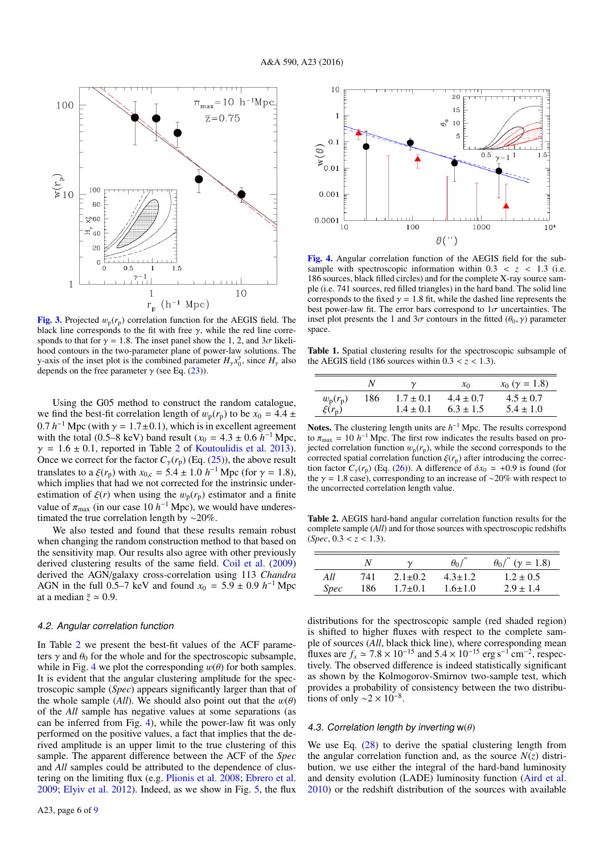

<span id="page-5-0"></span>**[Fig. 3.](http://dexter.edpsciences.org/applet.php?DOI=10.1051/0004-6361/201527814&pdf_id=3)** Projected  $w_p(r_p)$  correlation function for the AEGIS field. The black line correblack line corresponds to the fit with free  $\gamma$ , while the red line corre-<br>sponds to that for  $\gamma = 1.8$  The inset panel show the 1.2 and  $3\sigma$  likelisponds to that for  $\gamma = 1.8$ . The inset panel show the 1, 2, and  $3\sigma$  likelihood contours in the two-parameter plane of power-law solutions. The y-axis of the inset plot is the combined parameter  $H_{\gamma} x_0^{\gamma}$ , since  $H_{\gamma}$  also<br>depends on the free parameter  $\gamma$  (see Eq. (23)) depends on the free parameter  $\gamma$  (see Eq. [\(23\)](#page-4-0)).

Using the G05 method to construct the random catalogue, we find the best-fit correlation length of  $w_p(r_p)$  to be  $x_0 = 4.4 \pm \sqrt{ }$ 0.7 *h*<sup>-1</sup> Mpc (with  $\gamma = 1.7 \pm 0.1$ ), which is in excellent agreement with the total (0.5–8 keV) band result ( $x_0 = 4.3 + 0.6 h^{-1}$  Mpc with the total (0.5–8 keV) band result  $(x_0 = 4.3 \pm 0.6 h^{-1}$  Mpc,<br> $\gamma = 1.6 \pm 0.1$  reported in Table 2 of Koutoulidis et al. 2013)  $\gamma = 1.6 \pm 0.1$ , reported in Table [2](#page-5-2) of [Koutoulidis et al.](#page-7-5) [2013\)](#page-7-5). Once we correct for the factor  $C_{\gamma}(r_{\rm p})$  (Eq. [\(25\)](#page-4-2)), the above result translates to a  $\xi(r_p)$  with  $x_{0,c} = 5.4 \pm 1.0 h^{-1}$  Mpc (for  $\gamma = 1.8$ ), which implies that had we not corrected for the instrinsic underwhich implies that had we not corrected for the instrinsic underestimation of  $\xi(r)$  when using the  $w_p(r_p)$  estimator and a finite value of  $\pi_{\text{max}}$  (in our case 10 *h*<sup>-1</sup> Mpc), we would have underestimated the true correlation length by ~20% timated the true correlation length by ∼20%.

We also tested and found that these results remain robust when changing the random construction method to that based on the sensitivity map. Our results also agree with other previously derived clustering results of the same field. [Coil et al.](#page-7-13) [\(2009\)](#page-7-13) derived the AGN/galaxy cross-correlation using 113 *Chandra* AGN in the full 0.5–7 keV and found  $x_0 = 5.9 \pm 0.9 h^{-1}$  Mpc at a median  $\bar{z} \approx 0.9$ at a median  $\bar{z} \approx 0.9$ .

#### 4.2. Angular correlation function

In Table [2](#page-5-2) we present the best-fit values of the ACF parameters  $\gamma$  and  $\theta_0$  for the whole and for the spectroscopic subsample, while in Fig. [4](#page-5-3) we plot the corresponding  $w(\theta)$  for both samples. It is evident that the angular clustering amplitude for the spectroscopic sample (*Spec*) appears significantly larger than that of the whole sample (*All*). We should also point out that the  $w(\theta)$ of the *All* sample has negative values at some separations (as can be inferred from Fig. [4\)](#page-5-3), while the power-law fit was only performed on the positive values, a fact that implies that the derived amplitude is an upper limit to the true clustering of this sample. The apparent difference between the ACF of the *Spec* and *All* samples could be attributed to the dependence of clustering on the limiting flux (e.g. [Plionis et al.](#page-8-16) [2008;](#page-8-16) [Ebrero et al.](#page-7-19) [2009;](#page-7-19) [Elyiv et al.](#page-7-20) [2012\)](#page-7-20). Indeed, as we show in Fig. [5,](#page-6-0) the flux



<span id="page-5-3"></span>[Fig. 4.](http://dexter.edpsciences.org/applet.php?DOI=10.1051/0004-6361/201527814&pdf_id=4) Angular correlation function of the AEGIS field for the subsample with spectroscopic information within  $0.3 < z < 1.3$  (i.e. 186 sources, black filled circles) and for the complete X-ray source sample (i.e. 741 sources, red filled triangles) in the hard band. The solid line corresponds to the fixed  $\gamma = 1.8$  fit, while the dashed line represents the best power-law fit. The error bars correspond to  $1\sigma$  uncertainties. The inset plot presents the 1 and  $3\sigma$  contours in the fitted  $(\theta_0, \gamma)$  parameter space.

<span id="page-5-1"></span>Table 1. Spatial clustering results for the spectroscopic subsample of the AEGIS field (186 sources within  $0.3 < z < 1.3$ ).

|                        | N   |               | $x_0$         | $x_0$ ( $\gamma = 1.8$ ) |
|------------------------|-----|---------------|---------------|--------------------------|
| $w_{\rm p}(r_{\rm p})$ | 186 | $1.7 \pm 0.1$ | $4.4 \pm 0.7$ | $4.5 \pm 0.7$            |
| $\xi(r_p)$             |     | $1.4 \pm 0.1$ | $6.3 \pm 1.5$ | $5.4 \pm 1.0$            |
|                        |     |               |               |                          |

Notes. The clustering length units are  $h^{-1}$  Mpc. The results correspond to  $\pi_{\text{max}} = 10 h^{-1}$  Mpc. The first row indicates the results based on pro-<br>jected correlation function  $w_{\text{c}}(r_{\text{c}})$  while the second corresponds to the jected correlation function  $w_p(r_p)$ , while the second corresponds to the corrected spatial correlation function  $\xi(r_p)$  after introducing the correction factor  $C_{\gamma}(r_{\rm p})$  (Eq. [\(26\)](#page-4-3)). A difference of  $\delta x_0 \simeq +0.9$  is found (for the  $\gamma = 1.8$  case), corresponding to an increase of ~20% with respect to the uncorrected correlation length value.

<span id="page-5-2"></span>Table 2. AEGIS hard-band angular correlation function results for the complete sample (*All*) and for those sources with spectroscopic redshifts  $(Spec, 0.3 < z < 1.3).$ 

|             | N   |               | $\theta_0$    | $\theta_0/''$ (y = 1.8) |
|-------------|-----|---------------|---------------|-------------------------|
| All         | 741 | $2.1 \pm 0.2$ | $4.3 \pm 1.2$ | $1.2 \pm 0.5$           |
| <i>Spec</i> | 186 | $1.7 \pm 0.1$ | $1.6 \pm 1.0$ | $2.9 \pm 1.4$           |
|             |     |               |               |                         |

distributions for the spectroscopic sample (red shaded region) is shifted to higher fluxes with respect to the complete sample of sources (*All*, black thick line), where corresponding mean fluxes are  $f_x \approx 7.8 \times 10^{-15}$  and  $5.4 \times 10^{-15}$  erg s<sup>-1</sup>cm<sup>-2</sup>, respectively. The observed difference is indeed statistically significant tively. The observed difference is indeed statistically significant as shown by the Kolmogorov-Smirnov two-sample test, which provides a probability of consistency between the two distributions of only  $\sim$ 2 × 10<sup>-8</sup>.

### 4.3. Correlation length by inverting  $w(\theta)$

We use Eq.  $(28)$  to derive the spatial clustering length from the angular correlation function and, as the source  $N(z)$  distribution, we use either the integral of the hard-band luminosity and density evolution (LADE) luminosity function [\(Aird et al.](#page-7-35) [2010\)](#page-7-35) or the redshift distribution of the sources with available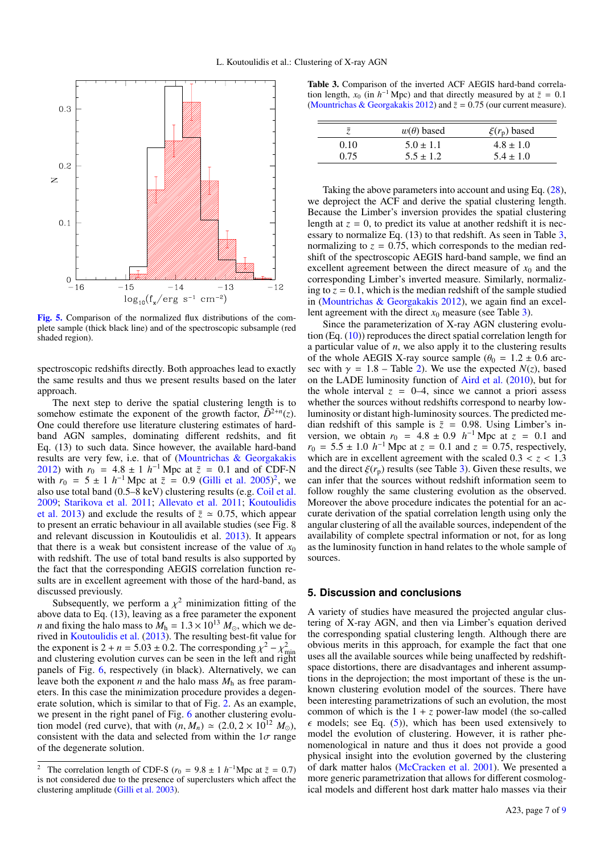

<span id="page-6-0"></span>[Fig. 5.](http://dexter.edpsciences.org/applet.php?DOI=10.1051/0004-6361/201527814&pdf_id=5) Comparison of the normalized flux distributions of the complete sample (thick black line) and of the spectroscopic subsample (red shaded region).

spectroscopic redshifts directly. Both approaches lead to exactly the same results and thus we present results based on the later approach.

The next step to derive the spatial clustering length is to somehow estimate the exponent of the growth factor,  $\tilde{D}^{2+n}(z)$ . One could therefore use literature clustering estimates of hardband AGN samples, dominating different redshits, and fit Eq. (13) to such data. Since however, the available hard-band results are very few, i.e. that of [\(Mountrichas & Georgakakis](#page-8-10) [2012\)](#page-8-10) with  $r_0 = 4.8 \pm 1 h^{-1}$  Mpc at  $\bar{z} = 0.1$  and of CDF-N with  $r_0 = 5 + 1 h^{-1}$  Mpc at  $\bar{z} = 0.9$  (Gilli et al. 2005)<sup>2</sup> we with  $r_0 = 5 \pm 1 h^{-1}$  Mpc at  $\overline{z} = 0.9$  [\(Gilli et al.](#page-7-10) [2005\)](#page-7-10)<sup>[2](#page-6-1)</sup>, we also use total band (0.5–8 keV) clustering results (e.g. Coil et al. also use total band (0.5–8 keV) clustering results (e.g. [Coil et al.](#page-7-13) [2009;](#page-7-13) [Starikova et al.](#page-8-9) [2011;](#page-8-9) [Allevato et al.](#page-7-14) [2011;](#page-7-14) [Koutoulidis](#page-7-5) [et al.](#page-7-5) [2013\)](#page-7-5) and exclude the results of  $\bar{z} \approx 0.75$ , which appear to present an erratic behaviour in all available studies (see Fig. 8 and relevant discussion in Koutoulidis et al. [2013\)](#page-7-5). It appears that there is a weak but consistent increase of the value of  $x_0$ with redshift. The use of total band results is also supported by the fact that the corresponding AEGIS correlation function results are in excellent agreement with those of the hard-band, as discussed previously.

Subsequently, we perform a  $\chi^2$  minimization fitting of the vector data to Eq. (13) leaving as a free parameter the exponent above data to Eq. (13), leaving as a free parameter the exponent *n* and fixing the halo mass to  $M<sub>h</sub> = 1.3 \times 10^{13} M<sub>\odot</sub>$ , which we derived in [Koutoulidis et al.](#page-7-5) [\(2013\)](#page-7-5). The resulting best-fit value for the exponent is  $2 + n = 5.03 \pm 0.2$ . The corresponding  $\chi^2 - \chi^2$  and clustering evolution curves can be seen in the left and right and clustering evolution curves can be seen in the left and right panels of Fig. [6,](#page-7-36) respectively (in black). Alternatively, we can leave both the exponent  $n$  and the halo mass  $M<sub>h</sub>$  as free parameters. In this case the minimization procedure provides a degenerate solution, which is similar to that of Fig. [2.](#page-3-1) As an example, we present in the right panel of Fig. [6](#page-7-36) another clustering evolution model (red curve), that with  $(n, M_n) \simeq (2.0, 2 \times 10^{12} M_{\odot})$ , consistent with the data and selected from within the  $1\sigma$  range of the degenerate solution.

<span id="page-6-2"></span>Table 3. Comparison of the inverted ACF AEGIS hard-band correlation length,  $x_0$  (in  $h^{-1}$  Mpc) and that directly measured by at  $\bar{z} = 0.1$ <br>(Mountrichas & Georgakakis 2012) and  $\bar{z} = 0.75$  (our current measure) [\(Mountrichas & Georgakakis](#page-8-10) [2012\)](#page-8-10) and  $\bar{z} = 0.75$  (our current measure).

|      | $w(\theta)$ based | $\xi(r_{\rm p})$ based |
|------|-------------------|------------------------|
| 0.10 | $5.0 \pm 1.1$     | $4.8 \pm 1.0$          |
| 0.75 | $5.5 \pm 1.2$     | $5.4 \pm 1.0$          |

Taking the above parameters into account and using Eq. [\(28\)](#page-4-4), we deproject the ACF and derive the spatial clustering length. Because the Limber's inversion provides the spatial clustering length at  $z = 0$ , to predict its value at another redshift it is necessary to normalize Eq. (13) to that redshift. As seen in Table [3,](#page-6-2) normalizing to  $z = 0.75$ , which corresponds to the median redshift of the spectroscopic AEGIS hard-band sample, we find an excellent agreement between the direct measure of  $x_0$  and the corresponding Limber's inverted measure. Similarly, normalizing to  $z = 0.1$ , which is the median redshift of the sample studied in [\(Mountrichas & Georgakakis](#page-8-10) [2012\)](#page-8-10), we again find an excellent agreement with the direct  $x_0$  measure (see Table [3\)](#page-6-2).

Since the parameterization of X-ray AGN clustering evolution (Eq.  $(10)$ ) reproduces the direct spatial correlation length for a particular value of *n*, we also apply it to the clustering results of the whole AEGIS X-ray source sample  $(\theta_0 = 1.2 \pm 0.6 \text{ arc}$ sec with  $\gamma = 1.8$  – Table [2\)](#page-5-2). We use the expected  $N(z)$ , based on the LADE luminosity function of [Aird et al.](#page-7-35) [\(2010\)](#page-7-35), but for the whole interval  $z = 0-4$ , since we cannot a priori assess whether the sources without redshifts correspond to nearby lowluminosity or distant high-luminosity sources. The predicted median redshift of this sample is  $\bar{z} = 0.98$ . Using Limber's inversion, we obtain  $r_0 = 4.8 \pm 0.9$  *h*<sup>-1</sup> Mpc at  $z = 0.1$  and  $r_0 = 5.5 \pm 1.0$  *h*<sup>-1</sup> Mpc at  $z = 0.1$  and  $z = 0.75$  respectively  $r_0 = 5.5 \pm 1.0 h^{-1}$  Mpc at  $z = 0.1$  and  $z = 0.75$ , respectively, which are in excellent agreement with the scaled 0.3 < z < 1.3 which are in excellent agreement with the scaled  $0.3 < z < 1.3$ and the direct  $\xi(r_p)$  results (see Table [3\)](#page-6-2). Given these results, we can infer that the sources without redshift information seem to follow roughly the same clustering evolution as the observed. Moreover the above procedure indicates the potential for an accurate derivation of the spatial correlation length using only the angular clustering of all the available sources, independent of the availability of complete spectral information or not, for as long as the luminosity function in hand relates to the whole sample of sources.

## **5. Discussion and conclusions**

A variety of studies have measured the projected angular clustering of X-ray AGN, and then via Limber's equation derived the corresponding spatial clustering length. Although there are obvious merits in this approach, for example the fact that one uses all the available sources while being unaffected by redshiftspace distortions, there are disadvantages and inherent assumptions in the deprojection; the most important of these is the unknown clustering evolution model of the sources. There have been interesting parametrizations of such an evolution, the most common of which is the  $1 + z$  power-law model (the so-called  $\epsilon$  models; see Eq. [\(5\)](#page-2-2)), which has been used extensively to model the evolution of clustering. However, it is rather phenomenological in nature and thus it does not provide a good physical insight into the evolution governed by the clustering of dark matter halos [\(McCracken et al.](#page-8-27) [2001\)](#page-8-27). We presented a more generic parametrization that allows for different cosmological models and different host dark matter halo masses via their

<span id="page-6-1"></span><sup>&</sup>lt;sup>2</sup> The correlation length of CDF-S ( $r_0 = 9.8 \pm 1 h^{-1}$ Mpc at  $\bar{z} = 0.7$ ) is not considered due to the presence of superclusters which affect the is not considered due to the presence of superclusters which affect the clustering amplitude [\(Gilli et al.](#page-7-37) [2003\)](#page-7-37).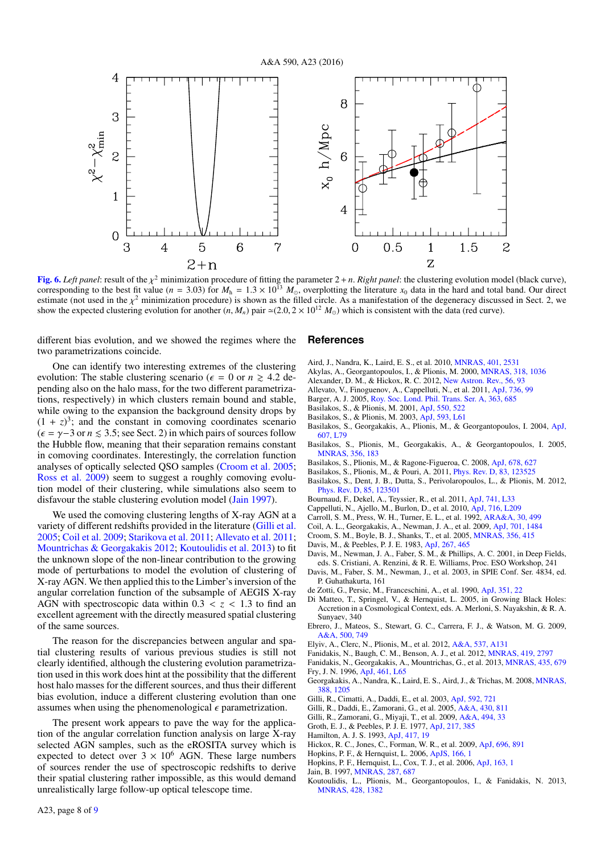

<span id="page-7-36"></span>[Fig. 6.](http://dexter.edpsciences.org/applet.php?DOI=10.1051/0004-6361/201527814&pdf_id=6) *Left panel*: result of the  $\chi^2$  minimization procedure of fitting the parameter  $2 + n$ . *Right panel*: the clustering evolution model (black curve), corresponding to the best fit value  $(n = 3.03)$  for  $M<sub>2</sub> =$ corresponding to the best fit value ( $n = 3.03$ ) for  $M<sub>h</sub> = 1.3 \times 10<sup>13</sup> M<sub>o</sub>$ , overplotting the literature  $x<sub>0</sub>$  data in the hard and total band. Our direct<br>estimate (not used in the  $v<sup>2</sup>$  minimizatio estimate (not used in the  $\chi^2$  minimization procedure) is shown as the filled circle. As a manifestation of the degeneracy discussed in Sect. 2, we show the expected clustering evolution for another (*n* M<sub>a</sub>) pair  $\approx$ show the expected clustering evolution for another  $(n, M_n)$  pair  $\approx (2.0, 2 \times 10^{12} M_{\odot})$  which is consistent with the data (red curve).

different bias evolution, and we showed the regimes where the two parametrizations coincide.

One can identify two interesting extremes of the clustering evolution: The stable clustering scenario ( $\epsilon = 0$  or  $n \ge 4.2$  depending also on the halo mass, for the two different parametrizations, respectively) in which clusters remain bound and stable, while owing to the expansion the background density drops by  $(1 + z)<sup>3</sup>$ ; and the constant in comoving coordinates scenario  $($  $\epsilon$  =  $\gamma$ -3 or *n* ≤ 3.5; see Sect. 2) in which pairs of sources follow the Hubble flow, meaning that their separation remains constant in comoving coordinates. Interestingly, the correlation function analyses of optically selected QSO samples [\(Croom et al.](#page-7-8) [2005;](#page-7-8) [Ross et al.](#page-8-3) [2009\)](#page-8-3) seem to suggest a roughly comoving evolution model of their clustering, while simulations also seem to disfavour the stable clustering evolution model [\(Jain](#page-7-38) [1997\)](#page-7-38).

We used the comoving clustering lengths of X-ray AGN at a variety of different redshifts provided in the literature [\(Gilli et al.](#page-7-10) [2005;](#page-7-10) [Coil et al.](#page-7-13) [2009;](#page-7-13) [Starikova et al.](#page-8-9) [2011;](#page-8-9) [Allevato et al.](#page-7-14) [2011;](#page-7-14) [Mountrichas & Georgakakis](#page-8-10) [2012;](#page-8-10) [Koutoulidis et al.](#page-7-5) [2013\)](#page-7-5) to fit the unknown slope of the non-linear contribution to the growing mode of perturbations to model the evolution of clustering of X-ray AGN. We then applied this to the Limber's inversion of the angular correlation function of the subsample of AEGIS X-ray AGN with spectroscopic data within  $0.3 < z < 1.3$  to find an excellent agreement with the directly measured spatial clustering of the same sources.

The reason for the discrepancies between angular and spatial clustering results of various previous studies is still not clearly identified, although the clustering evolution parametrization used in this work does hint at the possibility that the different host halo masses for the different sources, and thus their different bias evolution, induce a different clustering evolution than one assumes when using the phenomenological  $\epsilon$  parametrization.

The present work appears to pave the way for the application of the angular correlation function analysis on large X-ray selected AGN samples, such as the eROSITA survey which is expected to detect over  $3 \times 10^6$  AGN. These large numbers of sources render the use of spectroscopic redshifts to derive their spatial clustering rather impossible, as this would demand unrealistically large follow-up optical telescope time.

#### **References**

- <span id="page-7-35"></span>Aird, J., Nandra, K., Laird, E. S., et al. 2010, [MNRAS, 401, 2531](http://linker.aanda.org/10.1051/0004-6361/201527814/1)
- <span id="page-7-16"></span>Akylas, A., Georgantopoulos, I., & Plionis, M. 2000, [MNRAS, 318, 1036](http://linker.aanda.org/10.1051/0004-6361/201527814/2)
- <span id="page-7-0"></span>Alexander, D. M., & Hickox, R. C. 2012, [New Astron. Rev., 56, 93](http://linker.aanda.org/10.1051/0004-6361/201527814/3)
- <span id="page-7-14"></span>Allevato, V., Finoguenov, A., Cappelluti, N., et al. 2011, [ApJ, 736, 99](http://linker.aanda.org/10.1051/0004-6361/201527814/4)
- <span id="page-7-9"></span>Barger, A. J. 2005, [Roy. Soc. Lond. Phil. Trans. Ser. A, 363, 685](http://linker.aanda.org/10.1051/0004-6361/201527814/5)
- <span id="page-7-30"></span>Basilakos, S., & Plionis, M. 2001, [ApJ, 550, 522](http://linker.aanda.org/10.1051/0004-6361/201527814/6)
- <span id="page-7-31"></span>Basilakos, S., & Plionis, M. 2003, [ApJ, 593, L61](http://linker.aanda.org/10.1051/0004-6361/201527814/7)
- <span id="page-7-17"></span>Basilakos, S., Georgakakis, A., Plionis, M., & Georgantopoulos, I. 2004, [ApJ,](http://linker.aanda.org/10.1051/0004-6361/201527814/8) [607, L79](http://linker.aanda.org/10.1051/0004-6361/201527814/8)
- <span id="page-7-18"></span>Basilakos, S., Plionis, M., Georgakakis, A., & Georgantopoulos, I. 2005, [MNRAS, 356, 183](http://linker.aanda.org/10.1051/0004-6361/201527814/9)
- <span id="page-7-28"></span>Basilakos, S., Plionis, M., & Ragone-Figueroa, C. 2008, [ApJ, 678, 627](http://linker.aanda.org/10.1051/0004-6361/201527814/10)
- <span id="page-7-32"></span>Basilakos, S., Plionis, M., & Pouri, A. 2011, [Phys. Rev. D, 83, 123525](http://linker.aanda.org/10.1051/0004-6361/201527814/11)
- <span id="page-7-33"></span>Basilakos, S., Dent, J. B., Dutta, S., Perivolaropoulos, L., & Plionis, M. 2012, [Phys. Rev. D, 85, 123501](http://linker.aanda.org/10.1051/0004-6361/201527814/12)
- <span id="page-7-4"></span>Bournaud, F., Dekel, A., Teyssier, R., et al. 2011, [ApJ, 741, L33](http://linker.aanda.org/10.1051/0004-6361/201527814/13)
- <span id="page-7-15"></span>Cappelluti, N., Ajello, M., Burlon, D., et al. 2010, [ApJ, 716, L209](http://linker.aanda.org/10.1051/0004-6361/201527814/14)
- <span id="page-7-29"></span>Carroll, S. M., Press, W. H., Turner, E. L., et al. 1992, [ARA&A, 30, 499](http://linker.aanda.org/10.1051/0004-6361/201527814/15)
- <span id="page-7-13"></span>Coil, A. L., Georgakakis, A., Newman, J. A., et al. 2009, [ApJ, 701, 1484](http://linker.aanda.org/10.1051/0004-6361/201527814/16)
- <span id="page-7-8"></span>Croom, S. M., Boyle, B. J., Shanks, T., et al. 2005, [MNRAS, 356, 415](http://linker.aanda.org/10.1051/0004-6361/201527814/17)
- <span id="page-7-34"></span>Davis, M., & Peebles, P. J. E. 1983, [ApJ, 267, 465](http://linker.aanda.org/10.1051/0004-6361/201527814/18)
- <span id="page-7-21"></span>Davis, M., Newman, J. A., Faber, S. M., & Phillips, A. C. 2001, in Deep Fields, eds. S. Cristiani, A. Renzini, & R. E. Williams, Proc. ESO Workshop, 241
- <span id="page-7-22"></span>Davis, M., Faber, S. M., Newman, J., et al. 2003, in SPIE Conf. Ser. 4834, ed. P. Guhathakurta, 161
- <span id="page-7-26"></span>de Zotti, G., Persic, M., Franceschini, A., et al. 1990, [ApJ, 351, 22](http://linker.aanda.org/10.1051/0004-6361/201527814/21)
- <span id="page-7-1"></span>Di Matteo, T., Springel, V., & Hernquist, L. 2005, in Growing Black Holes: Accretion in a Cosmological Context, eds. A. Merloni, S. Nayakshin, & R. A. Sunyaev, 340
- <span id="page-7-19"></span>Ebrero, J., Mateos, S., Stewart, G. C., Carrera, F. J., & Watson, M. G. 2009, [A&A, 500, 749](http://linker.aanda.org/10.1051/0004-6361/201527814/23)
- <span id="page-7-20"></span>Elyiv, A., Clerc, N., Plionis, M., et al. 2012, [A&A, 537, A131](http://linker.aanda.org/10.1051/0004-6361/201527814/24)
- <span id="page-7-6"></span>Fanidakis, N., Baugh, C. M., Benson, A. J., et al. 2012, [MNRAS, 419, 2797](http://linker.aanda.org/10.1051/0004-6361/201527814/25)
- <span id="page-7-27"></span><span id="page-7-7"></span>Fanidakis, N., Georgakakis, A., Mountrichas, G., et al. 2013, [MNRAS, 435, 679](http://linker.aanda.org/10.1051/0004-6361/201527814/26) Fry, J. N. 1996, [ApJ, 461, L65](http://linker.aanda.org/10.1051/0004-6361/201527814/27)
- <span id="page-7-23"></span>Georgakakis, A., Nandra, K., Laird, E. S., Aird, J., & Trichas, M. 2008, [MNRAS,](http://linker.aanda.org/10.1051/0004-6361/201527814/28) [388, 1205](http://linker.aanda.org/10.1051/0004-6361/201527814/28)
- <span id="page-7-37"></span>Gilli, R., Cimatti, A., Daddi, E., et al. 2003, [ApJ, 592, 721](http://linker.aanda.org/10.1051/0004-6361/201527814/29)
- <span id="page-7-10"></span>Gilli, R., Daddi, E., Zamorani, G., et al. 2005, [A&A, 430, 811](http://linker.aanda.org/10.1051/0004-6361/201527814/30)
- <span id="page-7-11"></span>Gilli, R., Zamorani, G., Miyaji, T., et al. 2009, [A&A, 494, 33](http://linker.aanda.org/10.1051/0004-6361/201527814/31)
- <span id="page-7-25"></span>Groth, E. J., & Peebles, P. J. E. 1977, [ApJ, 217, 385](http://linker.aanda.org/10.1051/0004-6361/201527814/32)
- <span id="page-7-24"></span>Hamilton, A. J. S. 1993, [ApJ, 417, 19](http://linker.aanda.org/10.1051/0004-6361/201527814/33)
- <span id="page-7-12"></span>Hickox, R. C., Jones, C., Forman, W. R., et al. 2009, [ApJ, 696, 891](http://linker.aanda.org/10.1051/0004-6361/201527814/34)
- <span id="page-7-3"></span>Hopkins, P. F., & Hernquist, L. 2006, [ApJS, 166, 1](http://linker.aanda.org/10.1051/0004-6361/201527814/35)
- <span id="page-7-2"></span>Hopkins, P. F., Hernquist, L., Cox, T. J., et al. 2006, [ApJ, 163, 1](http://linker.aanda.org/10.1051/0004-6361/201527814/36)
- <span id="page-7-38"></span>Jain, B. 1997, [MNRAS, 287, 687](http://linker.aanda.org/10.1051/0004-6361/201527814/37)
- <span id="page-7-5"></span>Koutoulidis, L., Plionis, M., Georgantopoulos, I., & Fanidakis, N. 2013, [MNRAS, 428, 1382](http://linker.aanda.org/10.1051/0004-6361/201527814/38)